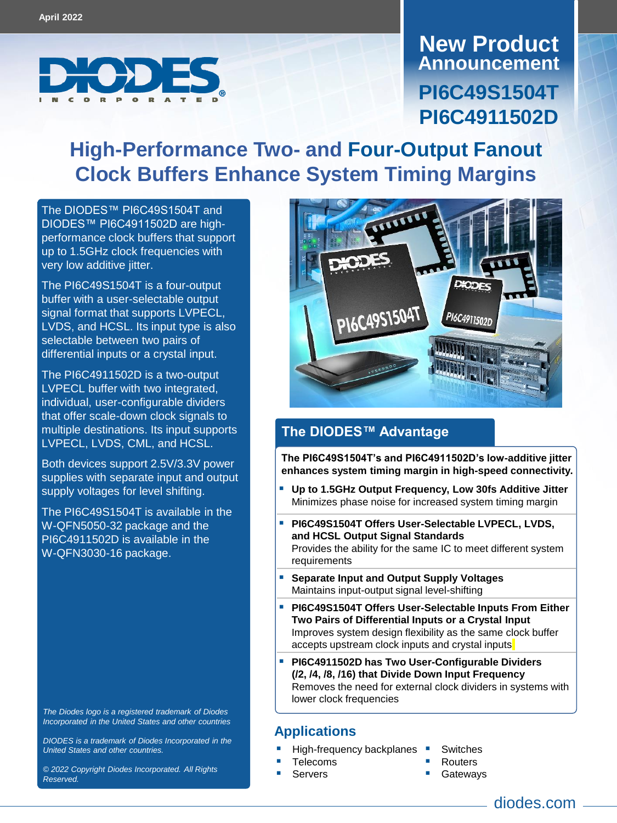

**Announcement New Product PI6C49S1504T PI6C4911502D**

# **High-Performance Two- and Four-Output Fanout Clock Buffers Enhance System Timing Margins**

The DIODES™ [PI6C49S1504T](https://www.diodes.com/part/PI6C49S1504T) and DIODES[™ PI6C4911502D](https://www.diodes.com/part/PI6C4911502D) are highperformance clock buffers that support up to 1.5GHz clock frequencies with very low additive jitter.

The PI6C49S1504T is a four-output buffer with a user-selectable output signal format that supports LVPECL, LVDS, and HCSL. Its input type is also selectable between two pairs of differential inputs or a crystal input.

The PI6C4911502D is a two-output LVPECL buffer with two integrated, individual, user-configurable dividers that offer scale-down clock signals to multiple destinations. Its input supports LVPECL, LVDS, CML, and HCSL.

Both devices support 2.5V/3.3V power supplies with separate input and output supply voltages for level shifting.

The PI6C49S1504T is available in the W-QFN5050-32 package and the PI6C4911502D is available in the W-QFN3030-16 package.

*The Diodes logo is a registered trademark of Diodes Incorporated in the United States and other countries*

*DIODES is a trademark of Diodes Incorporated in the United States and other countries.*

*© 2022 Copyright Diodes Incorporated. All Rights Reserved.*



#### **The DIODES™ Advantage**

**The PI6C49S1504T's and PI6C4911502D's low-additive jitter enhances system timing margin in high-speed connectivity.** 

- **Up to 1.5GHz Output Frequency, Low 30fs Additive Jitter** Minimizes phase noise for increased system timing margin
- **PI6C49S1504T Offers User-Selectable LVPECL, LVDS, and HCSL Output Signal Standards** Provides the ability for the same IC to meet different system requirements
- **Separate Input and Output Supply Voltages** Maintains input-output signal level-shifting
- **PI6C49S1504T Offers User-Selectable Inputs From Either Two Pairs of Differential Inputs or a Crystal Input** Improves system design flexibility as the same clock buffer accepts upstream clock inputs and crystal inputs
- **PI6C4911502D has Two User-Configurable Dividers (/2, /4, /8, /16) that Divide Down Input Frequency**  Removes the need for external clock dividers in systems with lower clock frequencies

#### **Applications**

- High-frequency backplanes
- Telecoms
- **Servers**
- **Switches**
- **Routers**
- **Gateways**
- diodes.com